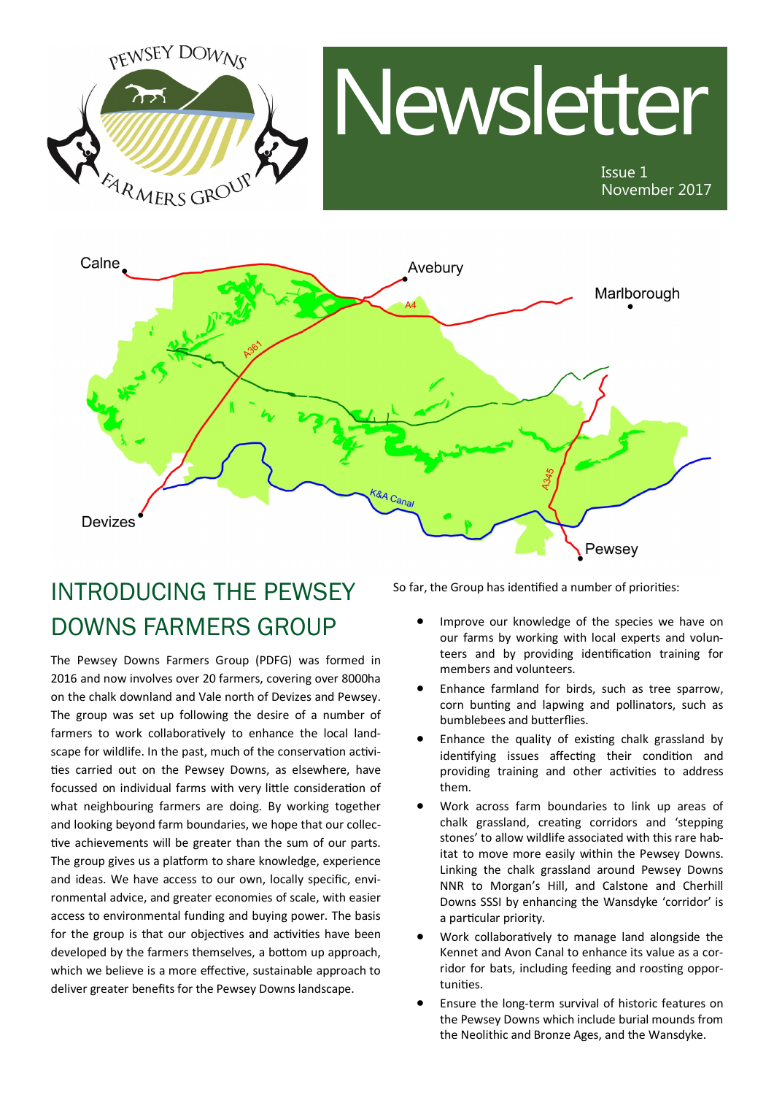



## INTRODUCING THE PEWSEY DOWNS FARMERS GROUP

The Pewsey Downs Farmers Group (PDFG) was formed in 2016 and now involves over 20 farmers, covering over 8000ha on the chalk downland and Vale north of Devizes and Pewsey. The group was set up following the desire of a number of farmers to work collaboratively to enhance the local landscape for wildlife. In the past, much of the conservation activities carried out on the Pewsey Downs, as elsewhere, have focussed on individual farms with very little consideration of what neighbouring farmers are doing. By working together and looking beyond farm boundaries, we hope that our collective achievements will be greater than the sum of our parts. The group gives us a platform to share knowledge, experience and ideas. We have access to our own, locally specific, environmental advice, and greater economies of scale, with easier access to environmental funding and buying power. The basis for the group is that our objectives and activities have been developed by the farmers themselves, a bottom up approach, which we believe is a more effective, sustainable approach to deliver greater benefits for the Pewsey Downs landscape.

So far, the Group has identified a number of priorities:

- Improve our knowledge of the species we have on our farms by working with local experts and volunteers and by providing identification training for members and volunteers.
- Enhance farmland for birds, such as tree sparrow, corn bunting and lapwing and pollinators, such as bumblebees and butterflies.
- Enhance the quality of existing chalk grassland by identifying issues affecting their condition and providing training and other activities to address them.
- Work across farm boundaries to link up areas of chalk grassland, creating corridors and 'stepping stones' to allow wildlife associated with this rare habitat to move more easily within the Pewsey Downs. Linking the chalk grassland around Pewsey Downs NNR to Morgan's Hill, and Calstone and Cherhill Downs SSSI by enhancing the Wansdyke 'corridor' is a particular priority.
- Work collaboratively to manage land alongside the Kennet and Avon Canal to enhance its value as a corridor for bats, including feeding and roosting opportunities.
- Ensure the long-term survival of historic features on the Pewsey Downs which include burial mounds from the Neolithic and Bronze Ages, and the Wansdyke.